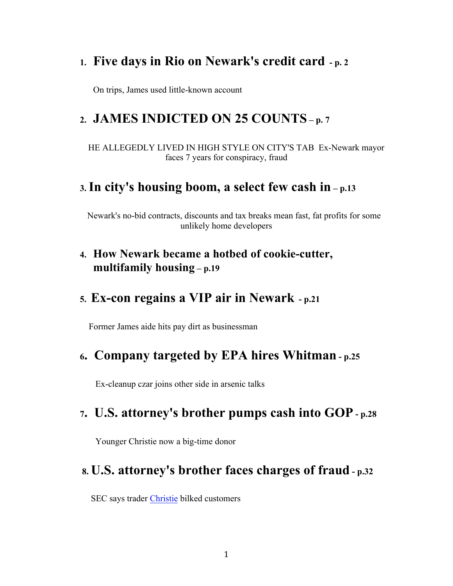## **1. Five days in Rio on Newark's credit card - p. 2**

On trips, James used little-known account

## **2. JAMES INDICTED ON 25 COUNTS – p. 7**

 HE ALLEGEDLY LIVED IN HIGH STYLE ON CITY'S TAB Ex-Newark mayor faces 7 years for conspiracy, fraud

### **3. In city's housing boom, a select few cash in – p.13**

Newark's no-bid contracts, discounts and tax breaks mean fast, fat profits for some unlikely home developers

### **4. How Newark became a hotbed of cookie-cutter, multifamily housing – p.19**

### **5. Ex-con regains a VIP air in Newark - p.21**

Former James aide hits pay dirt as businessman

### **6. Company targeted by EPA hires Whitman - p.25**

Ex-cleanup czar joins other side in arsenic talks

### **7. U.S. attorney's brother pumps cash into GOP - p.28**

Younger Christie now a big-time donor

### **8. U.S. attorney's brother faces charges of fraud - p.32**

SEC says trader Christie bilked customers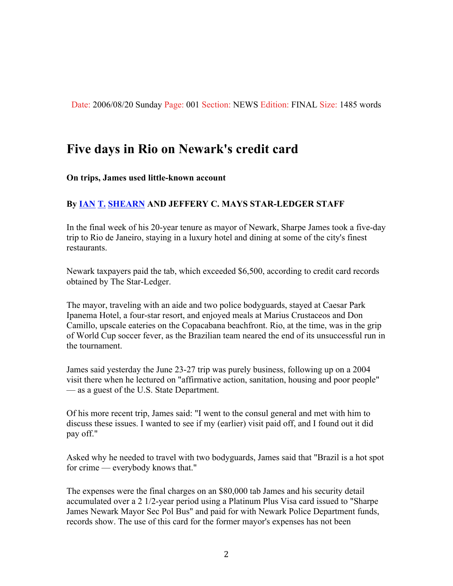Date: 2006/08/20 Sunday Page: 001 Section: NEWS Edition: FINAL Size: 1485 words

## **Five days in Rio on Newark's credit card**

#### **On trips, James used little-known account**

#### **By IAN T. SHEARN AND JEFFERY C. MAYS STAR-LEDGER STAFF**

In the final week of his 20-year tenure as mayor of Newark, Sharpe James took a five-day trip to Rio de Janeiro, staying in a luxury hotel and dining at some of the city's finest restaurants.

Newark taxpayers paid the tab, which exceeded \$6,500, according to credit card records obtained by The Star-Ledger.

The mayor, traveling with an aide and two police bodyguards, stayed at Caesar Park Ipanema Hotel, a four-star resort, and enjoyed meals at Marius Crustaceos and Don Camillo, upscale eateries on the Copacabana beachfront. Rio, at the time, was in the grip of World Cup soccer fever, as the Brazilian team neared the end of its unsuccessful run in the tournament.

James said yesterday the June 23-27 trip was purely business, following up on a 2004 visit there when he lectured on "affirmative action, sanitation, housing and poor people" — as a guest of the U.S. State Department.

Of his more recent trip, James said: "I went to the consul general and met with him to discuss these issues. I wanted to see if my (earlier) visit paid off, and I found out it did pay off."

Asked why he needed to travel with two bodyguards, James said that "Brazil is a hot spot for crime — everybody knows that."

The expenses were the final charges on an \$80,000 tab James and his security detail accumulated over a 2 1/2-year period using a Platinum Plus Visa card issued to "Sharpe James Newark Mayor Sec Pol Bus" and paid for with Newark Police Department funds, records show. The use of this card for the former mayor's expenses has not been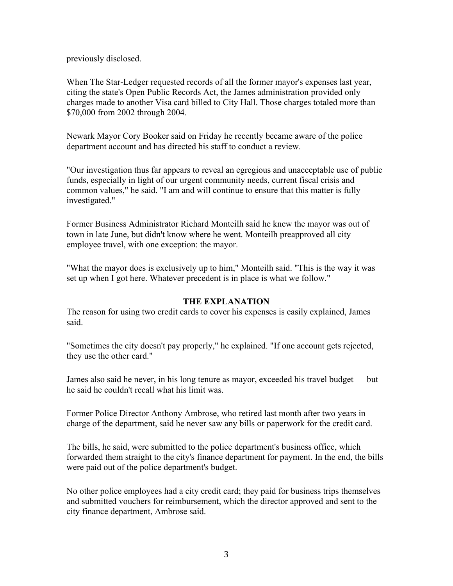previously disclosed.

When The Star-Ledger requested records of all the former mayor's expenses last year, citing the state's Open Public Records Act, the James administration provided only charges made to another Visa card billed to City Hall. Those charges totaled more than \$70,000 from 2002 through 2004.

Newark Mayor Cory Booker said on Friday he recently became aware of the police department account and has directed his staff to conduct a review.

"Our investigation thus far appears to reveal an egregious and unacceptable use of public funds, especially in light of our urgent community needs, current fiscal crisis and common values," he said. "I am and will continue to ensure that this matter is fully investigated."

Former Business Administrator Richard Monteilh said he knew the mayor was out of town in late June, but didn't know where he went. Monteilh preapproved all city employee travel, with one exception: the mayor.

"What the mayor does is exclusively up to him," Monteilh said. "This is the way it was set up when I got here. Whatever precedent is in place is what we follow."

#### **THE EXPLANATION**

The reason for using two credit cards to cover his expenses is easily explained, James said.

"Sometimes the city doesn't pay properly," he explained. "If one account gets rejected, they use the other card."

James also said he never, in his long tenure as mayor, exceeded his travel budget — but he said he couldn't recall what his limit was.

Former Police Director Anthony Ambrose, who retired last month after two years in charge of the department, said he never saw any bills or paperwork for the credit card.

The bills, he said, were submitted to the police department's business office, which forwarded them straight to the city's finance department for payment. In the end, the bills were paid out of the police department's budget.

No other police employees had a city credit card; they paid for business trips themselves and submitted vouchers for reimbursement, which the director approved and sent to the city finance department, Ambrose said.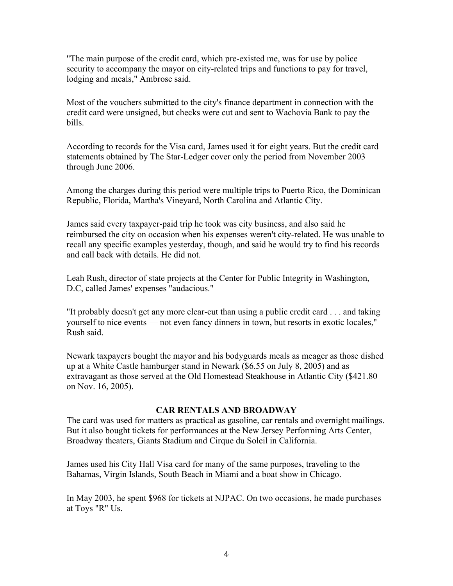"The main purpose of the credit card, which pre-existed me, was for use by police security to accompany the mayor on city-related trips and functions to pay for travel, lodging and meals," Ambrose said.

Most of the vouchers submitted to the city's finance department in connection with the credit card were unsigned, but checks were cut and sent to Wachovia Bank to pay the bills.

According to records for the Visa card, James used it for eight years. But the credit card statements obtained by The Star-Ledger cover only the period from November 2003 through June 2006.

Among the charges during this period were multiple trips to Puerto Rico, the Dominican Republic, Florida, Martha's Vineyard, North Carolina and Atlantic City.

James said every taxpayer-paid trip he took was city business, and also said he reimbursed the city on occasion when his expenses weren't city-related. He was unable to recall any specific examples yesterday, though, and said he would try to find his records and call back with details. He did not.

Leah Rush, director of state projects at the Center for Public Integrity in Washington, D.C, called James' expenses "audacious."

"It probably doesn't get any more clear-cut than using a public credit card . . . and taking yourself to nice events — not even fancy dinners in town, but resorts in exotic locales," Rush said.

Newark taxpayers bought the mayor and his bodyguards meals as meager as those dished up at a White Castle hamburger stand in Newark (\$6.55 on July 8, 2005) and as extravagant as those served at the Old Homestead Steakhouse in Atlantic City (\$421.80 on Nov. 16, 2005).

#### **CAR RENTALS AND BROADWAY**

The card was used for matters as practical as gasoline, car rentals and overnight mailings. But it also bought tickets for performances at the New Jersey Performing Arts Center, Broadway theaters, Giants Stadium and Cirque du Soleil in California.

James used his City Hall Visa card for many of the same purposes, traveling to the Bahamas, Virgin Islands, South Beach in Miami and a boat show in Chicago.

In May 2003, he spent \$968 for tickets at NJPAC. On two occasions, he made purchases at Toys "R" Us.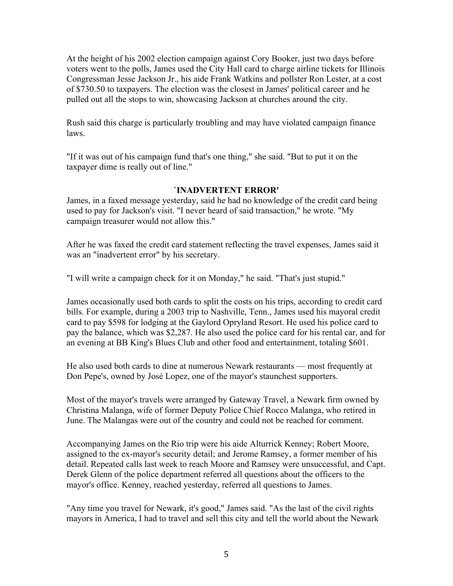At the height of his 2002 election campaign against Cory Booker, just two days before voters went to the polls, James used the City Hall card to charge airline tickets for Illinois Congressman Jesse Jackson Jr., his aide Frank Watkins and pollster Ron Lester, at a cost of \$730.50 to taxpayers. The election was the closest in James' political career and he pulled out all the stops to win, showcasing Jackson at churches around the city.

Rush said this charge is particularly troubling and may have violated campaign finance laws.

"If it was out of his campaign fund that's one thing," she said. "But to put it on the taxpayer dime is really out of line."

#### **`INADVERTENT ERROR'**

James, in a faxed message yesterday, said he had no knowledge of the credit card being used to pay for Jackson's visit. "I never heard of said transaction," he wrote. "My campaign treasurer would not allow this."

After he was faxed the credit card statement reflecting the travel expenses, James said it was an "inadvertent error" by his secretary.

"I will write a campaign check for it on Monday," he said. "That's just stupid."

James occasionally used both cards to split the costs on his trips, according to credit card bills. For example, during a 2003 trip to Nashville, Tenn., James used his mayoral credit card to pay \$598 for lodging at the Gaylord Opryland Resort. He used his police card to pay the balance, which was \$2,287. He also used the police card for his rental car, and for an evening at BB King's Blues Club and other food and entertainment, totaling \$601.

He also used both cards to dine at numerous Newark restaurants — most frequently at Don Pepe's, owned by José Lopez, one of the mayor's staunchest supporters.

Most of the mayor's travels were arranged by Gateway Travel, a Newark firm owned by Christina Malanga, wife of former Deputy Police Chief Rocco Malanga, who retired in June. The Malangas were out of the country and could not be reached for comment.

Accompanying James on the Rio trip were his aide Alturrick Kenney; Robert Moore, assigned to the ex-mayor's security detail; and Jerome Ramsey, a former member of his detail. Repeated calls last week to reach Moore and Ramsey were unsuccessful, and Capt. Derek Glenn of the police department referred all questions about the officers to the mayor's office. Kenney, reached yesterday, referred all questions to James.

"Any time you travel for Newark, it's good," James said. "As the last of the civil rights mayors in America, I had to travel and sell this city and tell the world about the Newark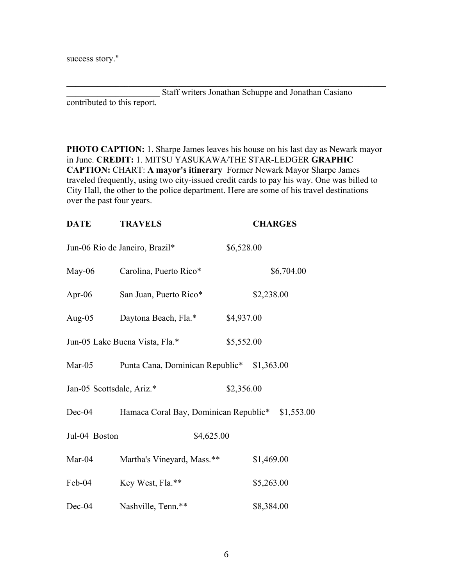success story."

Staff writers Jonathan Schuppe and Jonathan Casiano contributed to this report.

 $\mathcal{L}_\text{max}$  , and the contribution of the contribution of the contribution of the contribution of the contribution of the contribution of the contribution of the contribution of the contribution of the contribution of t

**PHOTO CAPTION:** 1. Sharpe James leaves his house on his last day as Newark mayor in June. **CREDIT:** 1. MITSU YASUKAWA/THE STAR-LEDGER **GRAPHIC CAPTION:** CHART: **A mayor's itinerary** Former Newark Mayor Sharpe James traveled frequently, using two city-issued credit cards to pay his way. One was billed to City Hall, the other to the police department. Here are some of his travel destinations over the past four years.

| <b>DATE</b>               | <b>TRAVELS</b>                        |            | <b>CHARGES</b> |            |  |
|---------------------------|---------------------------------------|------------|----------------|------------|--|
|                           | Jun-06 Rio de Janeiro, Brazil*        | \$6,528.00 |                |            |  |
| $May-06$                  | Carolina, Puerto Rico*                |            |                | \$6,704.00 |  |
| Apr-06                    | San Juan, Puerto Rico*                |            | \$2,238.00     |            |  |
| Aug- $05$                 | Daytona Beach, Fla.*                  | \$4,937.00 |                |            |  |
|                           | Jun-05 Lake Buena Vista, Fla.*        | \$5,552.00 |                |            |  |
| Mar- $05$                 | Punta Cana, Dominican Republic*       |            | \$1,363.00     |            |  |
| Jan-05 Scottsdale, Ariz.* |                                       | \$2,356.00 |                |            |  |
| $Dec-04$                  | Hamaca Coral Bay, Dominican Republic* |            |                | \$1,553.00 |  |
| Jul-04 Boston             | \$4,625.00                            |            |                |            |  |
| Mar-04                    | Martha's Vineyard, Mass.**            |            | \$1,469.00     |            |  |
| Feb-04                    | Key West, Fla.**                      |            | \$5,263.00     |            |  |
| Dec-04                    | Nashville, Tenn.**                    |            | \$8,384.00     |            |  |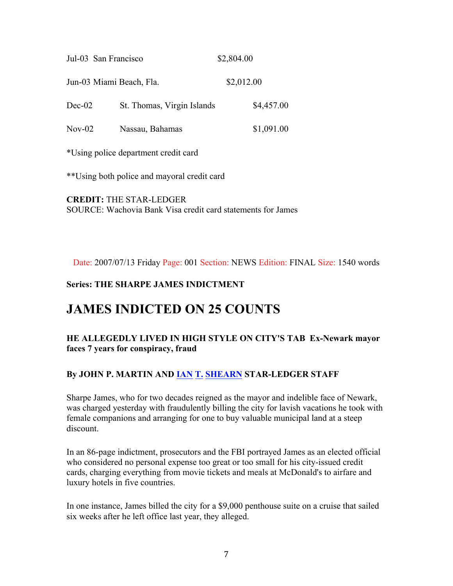| Jul-03 San Francisco     |                            | \$2,804.00 |
|--------------------------|----------------------------|------------|
| Jun-03 Miami Beach, Fla. |                            | \$2,012.00 |
| $Dec-02$                 | St. Thomas, Virgin Islands | \$4,457.00 |
| $Nov-02$                 | Nassau, Bahamas            | \$1,091.00 |

\*Using police department credit card

\*\*Using both police and mayoral credit card

**CREDIT:** THE STAR-LEDGER SOURCE: Wachovia Bank Visa credit card statements for James

Date: 2007/07/13 Friday Page: 001 Section: NEWS Edition: FINAL Size: 1540 words

#### **Series: THE SHARPE JAMES INDICTMENT**

# **JAMES INDICTED ON 25 COUNTS**

#### **HE ALLEGEDLY LIVED IN HIGH STYLE ON CITY'S TAB Ex-Newark mayor faces 7 years for conspiracy, fraud**

#### **By JOHN P. MARTIN AND IAN T. SHEARN STAR-LEDGER STAFF**

Sharpe James, who for two decades reigned as the mayor and indelible face of Newark, was charged yesterday with fraudulently billing the city for lavish vacations he took with female companions and arranging for one to buy valuable municipal land at a steep discount.

In an 86-page indictment, prosecutors and the FBI portrayed James as an elected official who considered no personal expense too great or too small for his city-issued credit cards, charging everything from movie tickets and meals at McDonald's to airfare and luxury hotels in five countries.

In one instance, James billed the city for a \$9,000 penthouse suite on a cruise that sailed six weeks after he left office last year, they alleged.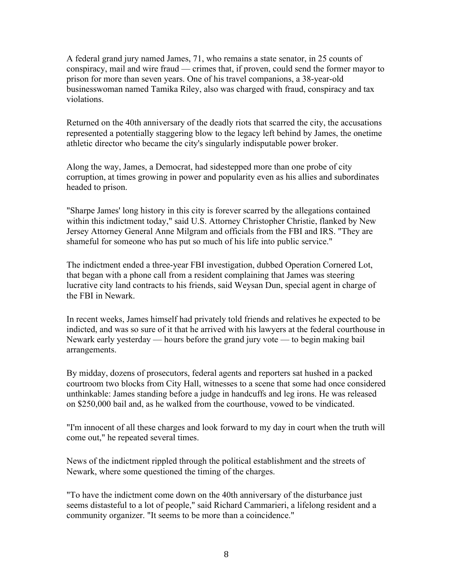A federal grand jury named James, 71, who remains a state senator, in 25 counts of conspiracy, mail and wire fraud — crimes that, if proven, could send the former mayor to prison for more than seven years. One of his travel companions, a 38-year-old businesswoman named Tamika Riley, also was charged with fraud, conspiracy and tax violations.

Returned on the 40th anniversary of the deadly riots that scarred the city, the accusations represented a potentially staggering blow to the legacy left behind by James, the onetime athletic director who became the city's singularly indisputable power broker.

Along the way, James, a Democrat, had sidestepped more than one probe of city corruption, at times growing in power and popularity even as his allies and subordinates headed to prison.

"Sharpe James' long history in this city is forever scarred by the allegations contained within this indictment today," said U.S. Attorney Christopher Christie, flanked by New Jersey Attorney General Anne Milgram and officials from the FBI and IRS. "They are shameful for someone who has put so much of his life into public service."

The indictment ended a three-year FBI investigation, dubbed Operation Cornered Lot, that began with a phone call from a resident complaining that James was steering lucrative city land contracts to his friends, said Weysan Dun, special agent in charge of the FBI in Newark.

In recent weeks, James himself had privately told friends and relatives he expected to be indicted, and was so sure of it that he arrived with his lawyers at the federal courthouse in Newark early yesterday — hours before the grand jury vote — to begin making bail arrangements.

By midday, dozens of prosecutors, federal agents and reporters sat hushed in a packed courtroom two blocks from City Hall, witnesses to a scene that some had once considered unthinkable: James standing before a judge in handcuffs and leg irons. He was released on \$250,000 bail and, as he walked from the courthouse, vowed to be vindicated.

"I'm innocent of all these charges and look forward to my day in court when the truth will come out," he repeated several times.

News of the indictment rippled through the political establishment and the streets of Newark, where some questioned the timing of the charges.

"To have the indictment come down on the 40th anniversary of the disturbance just seems distasteful to a lot of people," said Richard Cammarieri, a lifelong resident and a community organizer. "It seems to be more than a coincidence."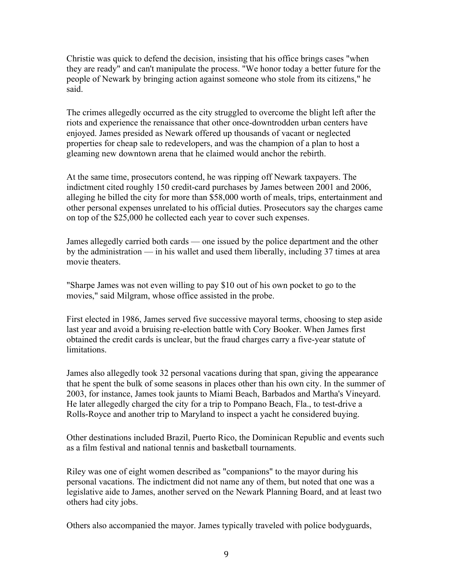Christie was quick to defend the decision, insisting that his office brings cases "when they are ready" and can't manipulate the process. "We honor today a better future for the people of Newark by bringing action against someone who stole from its citizens," he said.

The crimes allegedly occurred as the city struggled to overcome the blight left after the riots and experience the renaissance that other once-downtrodden urban centers have enjoyed. James presided as Newark offered up thousands of vacant or neglected properties for cheap sale to redevelopers, and was the champion of a plan to host a gleaming new downtown arena that he claimed would anchor the rebirth.

At the same time, prosecutors contend, he was ripping off Newark taxpayers. The indictment cited roughly 150 credit-card purchases by James between 2001 and 2006, alleging he billed the city for more than \$58,000 worth of meals, trips, entertainment and other personal expenses unrelated to his official duties. Prosecutors say the charges came on top of the \$25,000 he collected each year to cover such expenses.

James allegedly carried both cards — one issued by the police department and the other by the administration — in his wallet and used them liberally, including 37 times at area movie theaters.

"Sharpe James was not even willing to pay \$10 out of his own pocket to go to the movies," said Milgram, whose office assisted in the probe.

First elected in 1986, James served five successive mayoral terms, choosing to step aside last year and avoid a bruising re-election battle with Cory Booker. When James first obtained the credit cards is unclear, but the fraud charges carry a five-year statute of limitations.

James also allegedly took 32 personal vacations during that span, giving the appearance that he spent the bulk of some seasons in places other than his own city. In the summer of 2003, for instance, James took jaunts to Miami Beach, Barbados and Martha's Vineyard. He later allegedly charged the city for a trip to Pompano Beach, Fla., to test-drive a Rolls-Royce and another trip to Maryland to inspect a yacht he considered buying.

Other destinations included Brazil, Puerto Rico, the Dominican Republic and events such as a film festival and national tennis and basketball tournaments.

Riley was one of eight women described as "companions" to the mayor during his personal vacations. The indictment did not name any of them, but noted that one was a legislative aide to James, another served on the Newark Planning Board, and at least two others had city jobs.

Others also accompanied the mayor. James typically traveled with police bodyguards,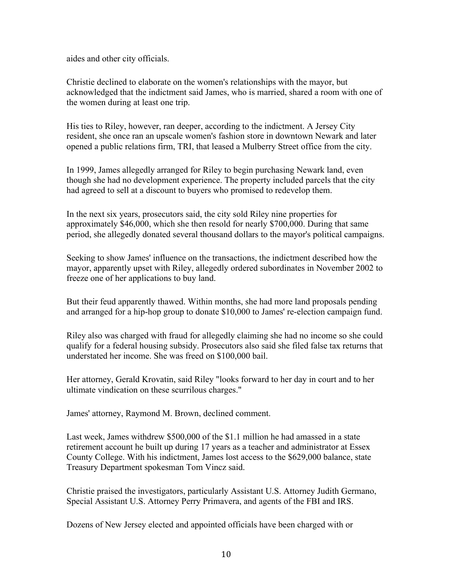aides and other city officials.

Christie declined to elaborate on the women's relationships with the mayor, but acknowledged that the indictment said James, who is married, shared a room with one of the women during at least one trip.

His ties to Riley, however, ran deeper, according to the indictment. A Jersey City resident, she once ran an upscale women's fashion store in downtown Newark and later opened a public relations firm, TRI, that leased a Mulberry Street office from the city.

In 1999, James allegedly arranged for Riley to begin purchasing Newark land, even though she had no development experience. The property included parcels that the city had agreed to sell at a discount to buyers who promised to redevelop them.

In the next six years, prosecutors said, the city sold Riley nine properties for approximately \$46,000, which she then resold for nearly \$700,000. During that same period, she allegedly donated several thousand dollars to the mayor's political campaigns.

Seeking to show James' influence on the transactions, the indictment described how the mayor, apparently upset with Riley, allegedly ordered subordinates in November 2002 to freeze one of her applications to buy land.

But their feud apparently thawed. Within months, she had more land proposals pending and arranged for a hip-hop group to donate \$10,000 to James' re-election campaign fund.

Riley also was charged with fraud for allegedly claiming she had no income so she could qualify for a federal housing subsidy. Prosecutors also said she filed false tax returns that understated her income. She was freed on \$100,000 bail.

Her attorney, Gerald Krovatin, said Riley "looks forward to her day in court and to her ultimate vindication on these scurrilous charges."

James' attorney, Raymond M. Brown, declined comment.

Last week, James withdrew \$500,000 of the \$1.1 million he had amassed in a state retirement account he built up during 17 years as a teacher and administrator at Essex County College. With his indictment, James lost access to the \$629,000 balance, state Treasury Department spokesman Tom Vincz said.

Christie praised the investigators, particularly Assistant U.S. Attorney Judith Germano, Special Assistant U.S. Attorney Perry Primavera, and agents of the FBI and IRS.

Dozens of New Jersey elected and appointed officials have been charged with or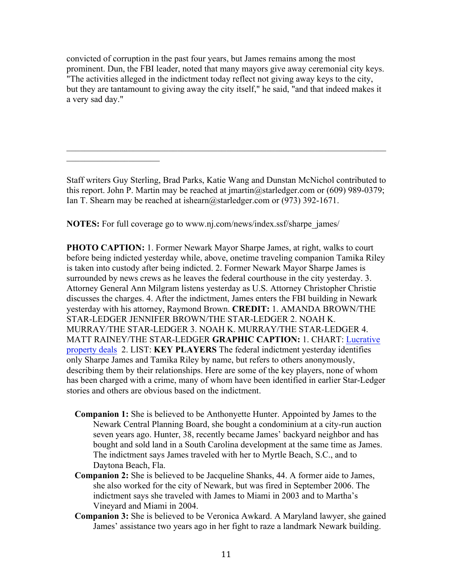convicted of corruption in the past four years, but James remains among the most prominent. Dun, the FBI leader, noted that many mayors give away ceremonial city keys. "The activities alleged in the indictment today reflect not giving away keys to the city, but they are tantamount to giving away the city itself," he said, "and that indeed makes it a very sad day."

Staff writers Guy Sterling, Brad Parks, Katie Wang and Dunstan McNichol contributed to this report. John P. Martin may be reached at jmartin@starledger.com or (609) 989-0379; Ian T. Shearn may be reached at ishearn@starledger.com or (973) 392-1671.

 $\mathcal{L}_\text{max}$  , and the contribution of the contribution of the contribution of the contribution of the contribution of the contribution of the contribution of the contribution of the contribution of the contribution of t

**NOTES:** For full coverage go to www.nj.com/news/index.ssf/sharpe\_james/

 $\mathcal{L}_\text{max}$ 

**PHOTO CAPTION:** 1. Former Newark Mayor Sharpe James, at right, walks to court before being indicted yesterday while, above, onetime traveling companion Tamika Riley is taken into custody after being indicted. 2. Former Newark Mayor Sharpe James is surrounded by news crews as he leaves the federal courthouse in the city yesterday. 3. Attorney General Ann Milgram listens yesterday as U.S. Attorney Christopher Christie discusses the charges. 4. After the indictment, James enters the FBI building in Newark yesterday with his attorney, Raymond Brown. **CREDIT:** 1. AMANDA BROWN/THE STAR-LEDGER JENNIFER BROWN/THE STAR-LEDGER 2. NOAH K. MURRAY/THE STAR-LEDGER 3. NOAH K. MURRAY/THE STAR-LEDGER 4. MATT RAINEY/THE STAR-LEDGER **GRAPHIC CAPTION:** 1. CHART: Lucrative property deals 2. LIST: **KEY PLAYERS** The federal indictment yesterday identifies only Sharpe James and Tamika Riley by name, but refers to others anonymously, describing them by their relationships. Here are some of the key players, none of whom has been charged with a crime, many of whom have been identified in earlier Star-Ledger stories and others are obvious based on the indictment.

- **Companion 1:** She is believed to be Anthonyette Hunter. Appointed by James to the Newark Central Planning Board, she bought a condominium at a city-run auction seven years ago. Hunter, 38, recently became James' backyard neighbor and has bought and sold land in a South Carolina development at the same time as James. The indictment says James traveled with her to Myrtle Beach, S.C., and to Daytona Beach, Fla.
- **Companion 2:** She is believed to be Jacqueline Shanks, 44. A former aide to James, she also worked for the city of Newark, but was fired in September 2006. The indictment says she traveled with James to Miami in 2003 and to Martha's Vineyard and Miami in 2004.
- **Companion 3:** She is believed to be Veronica Awkard. A Maryland lawyer, she gained James' assistance two years ago in her fight to raze a landmark Newark building.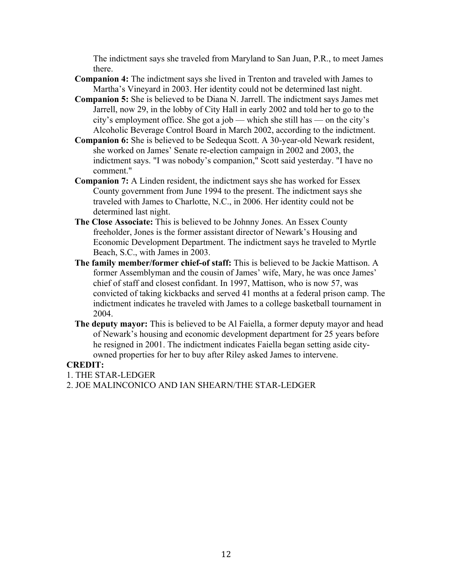The indictment says she traveled from Maryland to San Juan, P.R., to meet James there.

- **Companion 4:** The indictment says she lived in Trenton and traveled with James to Martha's Vineyard in 2003. Her identity could not be determined last night.
- **Companion 5:** She is believed to be Diana N. Jarrell. The indictment says James met Jarrell, now 29, in the lobby of City Hall in early 2002 and told her to go to the city's employment office. She got a job — which she still has — on the city's Alcoholic Beverage Control Board in March 2002, according to the indictment.
- **Companion 6:** She is believed to be Sedequa Scott. A 30-year-old Newark resident, she worked on James' Senate re-election campaign in 2002 and 2003, the indictment says. "I was nobody's companion," Scott said yesterday. "I have no comment."
- **Companion 7:** A Linden resident, the indictment says she has worked for Essex County government from June 1994 to the present. The indictment says she traveled with James to Charlotte, N.C., in 2006. Her identity could not be determined last night.
- **The Close Associate:** This is believed to be Johnny Jones. An Essex County freeholder, Jones is the former assistant director of Newark's Housing and Economic Development Department. The indictment says he traveled to Myrtle Beach, S.C., with James in 2003.
- **The family member/former chief-of staff:** This is believed to be Jackie Mattison. A former Assemblyman and the cousin of James' wife, Mary, he was once James' chief of staff and closest confidant. In 1997, Mattison, who is now 57, was convicted of taking kickbacks and served 41 months at a federal prison camp. The indictment indicates he traveled with James to a college basketball tournament in 2004.
- **The deputy mayor:** This is believed to be Al Faiella, a former deputy mayor and head of Newark's housing and economic development department for 25 years before he resigned in 2001. The indictment indicates Faiella began setting aside cityowned properties for her to buy after Riley asked James to intervene.

#### **CREDIT:**

1. THE STAR-LEDGER

2. JOE MALINCONICO AND IAN SHEARN/THE STAR-LEDGER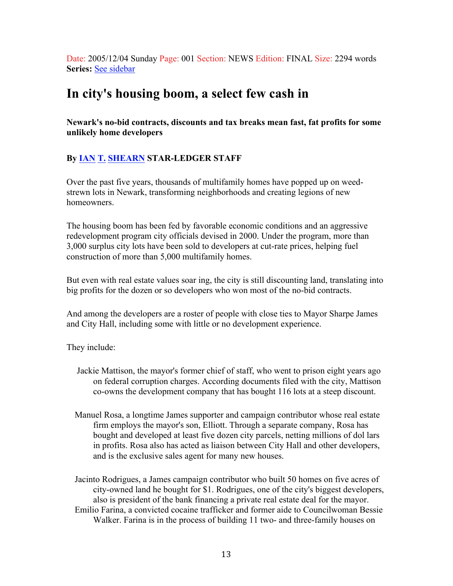Date: 2005/12/04 Sunday Page: 001 Section: NEWS Edition: FINAL Size: 2294 words **Series:** See sidebar

## **In city's housing boom, a select few cash in**

**Newark's no-bid contracts, discounts and tax breaks mean fast, fat profits for some unlikely home developers**

#### **By IAN T. SHEARN STAR-LEDGER STAFF**

Over the past five years, thousands of multifamily homes have popped up on weedstrewn lots in Newark, transforming neighborhoods and creating legions of new homeowners.

The housing boom has been fed by favorable economic conditions and an aggressive redevelopment program city officials devised in 2000. Under the program, more than 3,000 surplus city lots have been sold to developers at cut-rate prices, helping fuel construction of more than 5,000 multifamily homes.

But even with real estate values soar ing, the city is still discounting land, translating into big profits for the dozen or so developers who won most of the no-bid contracts.

And among the developers are a roster of people with close ties to Mayor Sharpe James and City Hall, including some with little or no development experience.

They include:

- Jackie Mattison, the mayor's former chief of staff, who went to prison eight years ago on federal corruption charges. According documents filed with the city, Mattison co-owns the development company that has bought 116 lots at a steep discount.
- Manuel Rosa, a longtime James supporter and campaign contributor whose real estate firm employs the mayor's son, Elliott. Through a separate company, Rosa has bought and developed at least five dozen city parcels, netting millions of dol lars in profits. Rosa also has acted as liaison between City Hall and other developers, and is the exclusive sales agent for many new houses.

Jacinto Rodrigues, a James campaign contributor who built 50 homes on five acres of city-owned land he bought for \$1. Rodrigues, one of the city's biggest developers, also is president of the bank financing a private real estate deal for the mayor. Emilio Farina, a convicted cocaine trafficker and former aide to Councilwoman Bessie Walker. Farina is in the process of building 11 two- and three-family houses on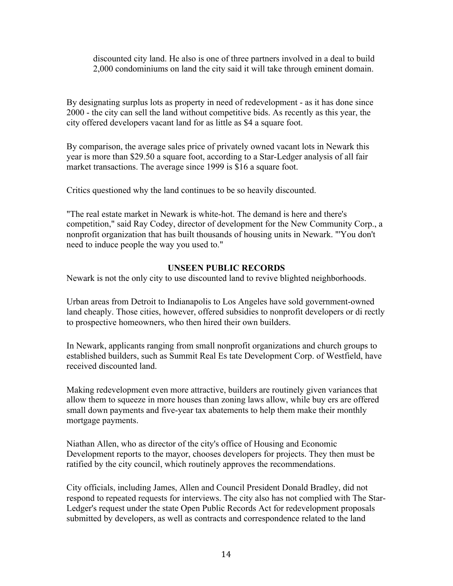discounted city land. He also is one of three partners involved in a deal to build 2,000 condominiums on land the city said it will take through eminent domain.

By designating surplus lots as property in need of redevelopment - as it has done since 2000 - the city can sell the land without competitive bids. As recently as this year, the city offered developers vacant land for as little as \$4 a square foot.

By comparison, the average sales price of privately owned vacant lots in Newark this year is more than \$29.50 a square foot, according to a Star-Ledger analysis of all fair market transactions. The average since 1999 is \$16 a square foot.

Critics questioned why the land continues to be so heavily discounted.

"The real estate market in Newark is white-hot. The demand is here and there's competition," said Ray Codey, director of development for the New Community Corp., a nonprofit organization that has built thousands of housing units in Newark. "'You don't need to induce people the way you used to."

#### **UNSEEN PUBLIC RECORDS**

Newark is not the only city to use discounted land to revive blighted neighborhoods.

Urban areas from Detroit to Indianapolis to Los Angeles have sold government-owned land cheaply. Those cities, however, offered subsidies to nonprofit developers or di rectly to prospective homeowners, who then hired their own builders.

In Newark, applicants ranging from small nonprofit organizations and church groups to established builders, such as Summit Real Es tate Development Corp. of Westfield, have received discounted land.

Making redevelopment even more attractive, builders are routinely given variances that allow them to squeeze in more houses than zoning laws allow, while buy ers are offered small down payments and five-year tax abatements to help them make their monthly mortgage payments.

Niathan Allen, who as director of the city's office of Housing and Economic Development reports to the mayor, chooses developers for projects. They then must be ratified by the city council, which routinely approves the recommendations.

City officials, including James, Allen and Council President Donald Bradley, did not respond to repeated requests for interviews. The city also has not complied with The Star-Ledger's request under the state Open Public Records Act for redevelopment proposals submitted by developers, as well as contracts and correspondence related to the land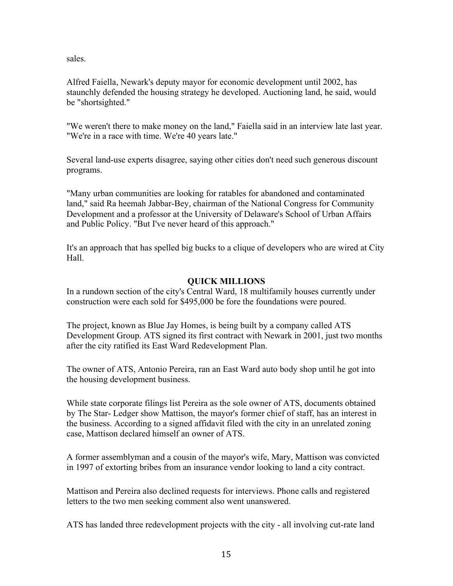sales.

Alfred Faiella, Newark's deputy mayor for economic development until 2002, has staunchly defended the housing strategy he developed. Auctioning land, he said, would be "shortsighted."

"We weren't there to make money on the land," Faiella said in an interview late last year. "We're in a race with time. We're 40 years late."

Several land-use experts disagree, saying other cities don't need such generous discount programs.

"Many urban communities are looking for ratables for abandoned and contaminated land," said Ra heemah Jabbar-Bey, chairman of the National Congress for Community Development and a professor at the University of Delaware's School of Urban Affairs and Public Policy. "But I've never heard of this approach."

It's an approach that has spelled big bucks to a clique of developers who are wired at City Hall.

#### **QUICK MILLIONS**

In a rundown section of the city's Central Ward, 18 multifamily houses currently under construction were each sold for \$495,000 be fore the foundations were poured.

The project, known as Blue Jay Homes, is being built by a company called ATS Development Group. ATS signed its first contract with Newark in 2001, just two months after the city ratified its East Ward Redevelopment Plan.

The owner of ATS, Antonio Pereira, ran an East Ward auto body shop until he got into the housing development business.

While state corporate filings list Pereira as the sole owner of ATS, documents obtained by The Star- Ledger show Mattison, the mayor's former chief of staff, has an interest in the business. According to a signed affidavit filed with the city in an unrelated zoning case, Mattison declared himself an owner of ATS.

A former assemblyman and a cousin of the mayor's wife, Mary, Mattison was convicted in 1997 of extorting bribes from an insurance vendor looking to land a city contract.

Mattison and Pereira also declined requests for interviews. Phone calls and registered letters to the two men seeking comment also went unanswered.

ATS has landed three redevelopment projects with the city - all involving cut-rate land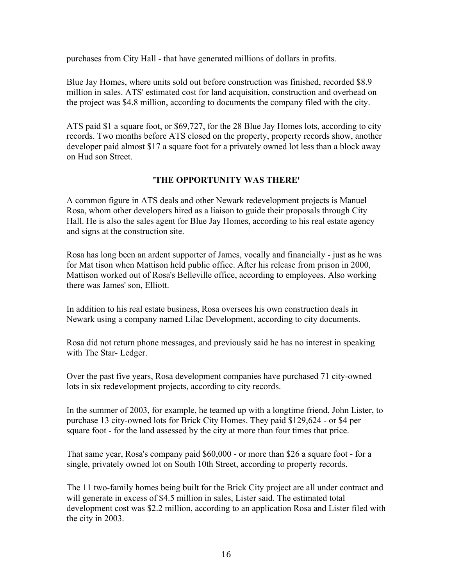purchases from City Hall - that have generated millions of dollars in profits.

Blue Jay Homes, where units sold out before construction was finished, recorded \$8.9 million in sales. ATS' estimated cost for land acquisition, construction and overhead on the project was \$4.8 million, according to documents the company filed with the city.

ATS paid \$1 a square foot, or \$69,727, for the 28 Blue Jay Homes lots, according to city records. Two months before ATS closed on the property, property records show, another developer paid almost \$17 a square foot for a privately owned lot less than a block away on Hud son Street.

#### **'THE OPPORTUNITY WAS THERE'**

A common figure in ATS deals and other Newark redevelopment projects is Manuel Rosa, whom other developers hired as a liaison to guide their proposals through City Hall. He is also the sales agent for Blue Jay Homes, according to his real estate agency and signs at the construction site.

Rosa has long been an ardent supporter of James, vocally and financially - just as he was for Mat tison when Mattison held public office. After his release from prison in 2000, Mattison worked out of Rosa's Belleville office, according to employees. Also working there was James' son, Elliott.

In addition to his real estate business, Rosa oversees his own construction deals in Newark using a company named Lilac Development, according to city documents.

Rosa did not return phone messages, and previously said he has no interest in speaking with The Star- Ledger.

Over the past five years, Rosa development companies have purchased 71 city-owned lots in six redevelopment projects, according to city records.

In the summer of 2003, for example, he teamed up with a longtime friend, John Lister, to purchase 13 city-owned lots for Brick City Homes. They paid \$129,624 - or \$4 per square foot - for the land assessed by the city at more than four times that price.

That same year, Rosa's company paid \$60,000 - or more than \$26 a square foot - for a single, privately owned lot on South 10th Street, according to property records.

The 11 two-family homes being built for the Brick City project are all under contract and will generate in excess of \$4.5 million in sales, Lister said. The estimated total development cost was \$2.2 million, according to an application Rosa and Lister filed with the city in 2003.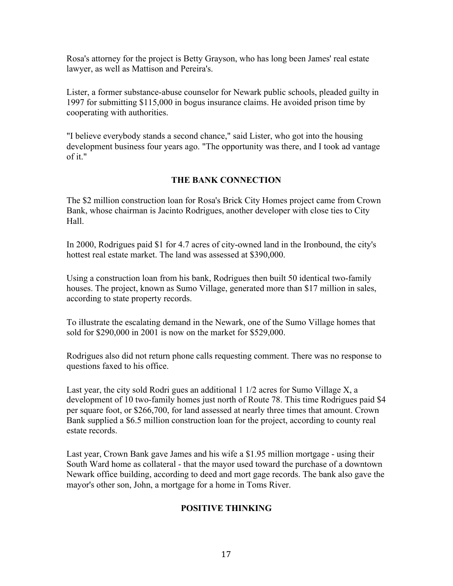Rosa's attorney for the project is Betty Grayson, who has long been James' real estate lawyer, as well as Mattison and Pereira's.

Lister, a former substance-abuse counselor for Newark public schools, pleaded guilty in 1997 for submitting \$115,000 in bogus insurance claims. He avoided prison time by cooperating with authorities.

"I believe everybody stands a second chance," said Lister, who got into the housing development business four years ago. "The opportunity was there, and I took ad vantage of it."

#### **THE BANK CONNECTION**

The \$2 million construction loan for Rosa's Brick City Homes project came from Crown Bank, whose chairman is Jacinto Rodrigues, another developer with close ties to City Hall.

In 2000, Rodrigues paid \$1 for 4.7 acres of city-owned land in the Ironbound, the city's hottest real estate market. The land was assessed at \$390,000.

Using a construction loan from his bank, Rodrigues then built 50 identical two-family houses. The project, known as Sumo Village, generated more than \$17 million in sales, according to state property records.

To illustrate the escalating demand in the Newark, one of the Sumo Village homes that sold for \$290,000 in 2001 is now on the market for \$529,000.

Rodrigues also did not return phone calls requesting comment. There was no response to questions faxed to his office.

Last year, the city sold Rodri gues an additional 1 1/2 acres for Sumo Village X, a development of 10 two-family homes just north of Route 78. This time Rodrigues paid \$4 per square foot, or \$266,700, for land assessed at nearly three times that amount. Crown Bank supplied a \$6.5 million construction loan for the project, according to county real estate records.

Last year, Crown Bank gave James and his wife a \$1.95 million mortgage - using their South Ward home as collateral - that the mayor used toward the purchase of a downtown Newark office building, according to deed and mort gage records. The bank also gave the mayor's other son, John, a mortgage for a home in Toms River.

#### **POSITIVE THINKING**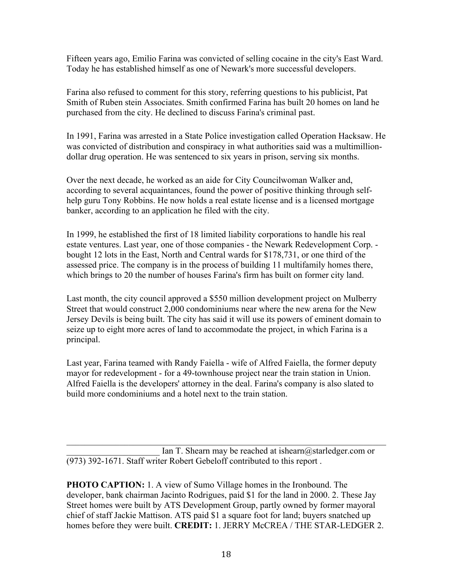Fifteen years ago, Emilio Farina was convicted of selling cocaine in the city's East Ward. Today he has established himself as one of Newark's more successful developers.

Farina also refused to comment for this story, referring questions to his publicist, Pat Smith of Ruben stein Associates. Smith confirmed Farina has built 20 homes on land he purchased from the city. He declined to discuss Farina's criminal past.

In 1991, Farina was arrested in a State Police investigation called Operation Hacksaw. He was convicted of distribution and conspiracy in what authorities said was a multimilliondollar drug operation. He was sentenced to six years in prison, serving six months.

Over the next decade, he worked as an aide for City Councilwoman Walker and, according to several acquaintances, found the power of positive thinking through selfhelp guru Tony Robbins. He now holds a real estate license and is a licensed mortgage banker, according to an application he filed with the city.

In 1999, he established the first of 18 limited liability corporations to handle his real estate ventures. Last year, one of those companies - the Newark Redevelopment Corp. bought 12 lots in the East, North and Central wards for \$178,731, or one third of the assessed price. The company is in the process of building 11 multifamily homes there, which brings to 20 the number of houses Farina's firm has built on former city land.

Last month, the city council approved a \$550 million development project on Mulberry Street that would construct 2,000 condominiums near where the new arena for the New Jersey Devils is being built. The city has said it will use its powers of eminent domain to seize up to eight more acres of land to accommodate the project, in which Farina is a principal.

Last year, Farina teamed with Randy Faiella - wife of Alfred Faiella, the former deputy mayor for redevelopment - for a 49-townhouse project near the train station in Union. Alfred Faiella is the developers' attorney in the deal. Farina's company is also slated to build more condominiums and a hotel next to the train station.

Ian T. Shearn may be reached at ishearn  $\omega$  starledger.com or (973) 392-1671. Staff writer Robert Gebeloff contributed to this report .

 $\mathcal{L}_\text{max} = \mathcal{L}_\text{max} = \mathcal{L}_\text{max} = \mathcal{L}_\text{max} = \mathcal{L}_\text{max} = \mathcal{L}_\text{max} = \mathcal{L}_\text{max} = \mathcal{L}_\text{max} = \mathcal{L}_\text{max} = \mathcal{L}_\text{max} = \mathcal{L}_\text{max} = \mathcal{L}_\text{max} = \mathcal{L}_\text{max} = \mathcal{L}_\text{max} = \mathcal{L}_\text{max} = \mathcal{L}_\text{max} = \mathcal{L}_\text{max} = \mathcal{L}_\text{max} = \mathcal{$ 

**PHOTO CAPTION:** 1. A view of Sumo Village homes in the Ironbound. The developer, bank chairman Jacinto Rodrigues, paid \$1 for the land in 2000. 2. These Jay Street homes were built by ATS Development Group, partly owned by former mayoral chief of staff Jackie Mattison. ATS paid \$1 a square foot for land; buyers snatched up homes before they were built. **CREDIT:** 1. JERRY McCREA / THE STAR-LEDGER 2.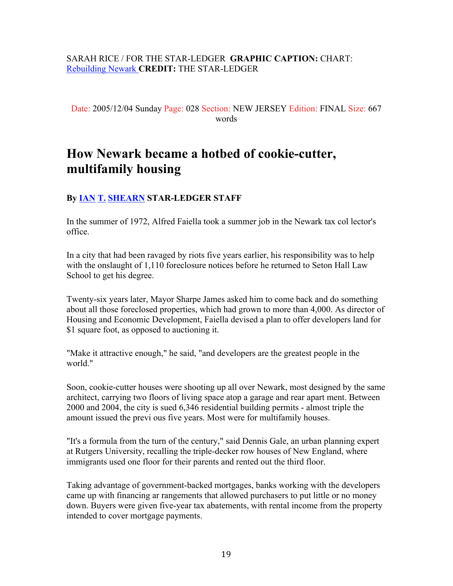#### SARAH RICE / FOR THE STAR-LEDGER **GRAPHIC CAPTION:** CHART: Rebuilding Newark **CREDIT:** THE STAR-LEDGER

Date: 2005/12/04 Sunday Page: 028 Section: NEW JERSEY Edition: FINAL Size: 667 words

# **How Newark became a hotbed of cookie-cutter, multifamily housing**

#### **By IAN T. SHEARN STAR-LEDGER STAFF**

In the summer of 1972, Alfred Faiella took a summer job in the Newark tax col lector's office.

In a city that had been ravaged by riots five years earlier, his responsibility was to help with the onslaught of 1,110 foreclosure notices before he returned to Seton Hall Law School to get his degree.

Twenty-six years later, Mayor Sharpe James asked him to come back and do something about all those foreclosed properties, which had grown to more than 4,000. As director of Housing and Economic Development, Faiella devised a plan to offer developers land for \$1 square foot, as opposed to auctioning it.

"Make it attractive enough," he said, "and developers are the greatest people in the world."

Soon, cookie-cutter houses were shooting up all over Newark, most designed by the same architect, carrying two floors of living space atop a garage and rear apart ment. Between 2000 and 2004, the city is sued 6,346 residential building permits - almost triple the amount issued the previ ous five years. Most were for multifamily houses.

"It's a formula from the turn of the century," said Dennis Gale, an urban planning expert at Rutgers University, recalling the triple-decker row houses of New England, where immigrants used one floor for their parents and rented out the third floor.

Taking advantage of government-backed mortgages, banks working with the developers came up with financing ar rangements that allowed purchasers to put little or no money down. Buyers were given five-year tax abatements, with rental income from the property intended to cover mortgage payments.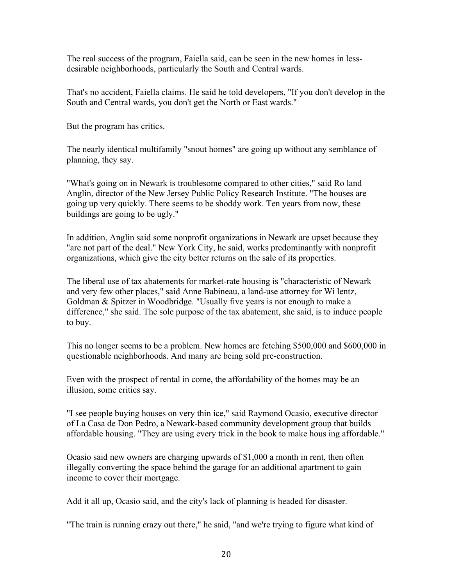The real success of the program, Faiella said, can be seen in the new homes in lessdesirable neighborhoods, particularly the South and Central wards.

That's no accident, Faiella claims. He said he told developers, "If you don't develop in the South and Central wards, you don't get the North or East wards."

But the program has critics.

The nearly identical multifamily "snout homes" are going up without any semblance of planning, they say.

"What's going on in Newark is troublesome compared to other cities," said Ro land Anglin, director of the New Jersey Public Policy Research Institute. "The houses are going up very quickly. There seems to be shoddy work. Ten years from now, these buildings are going to be ugly."

In addition, Anglin said some nonprofit organizations in Newark are upset because they "are not part of the deal." New York City, he said, works predominantly with nonprofit organizations, which give the city better returns on the sale of its properties.

The liberal use of tax abatements for market-rate housing is "characteristic of Newark and very few other places," said Anne Babineau, a land-use attorney for Wi lentz, Goldman & Spitzer in Woodbridge. "Usually five years is not enough to make a difference," she said. The sole purpose of the tax abatement, she said, is to induce people to buy.

This no longer seems to be a problem. New homes are fetching \$500,000 and \$600,000 in questionable neighborhoods. And many are being sold pre-construction.

Even with the prospect of rental in come, the affordability of the homes may be an illusion, some critics say.

"I see people buying houses on very thin ice," said Raymond Ocasio, executive director of La Casa de Don Pedro, a Newark-based community development group that builds affordable housing. "They are using every trick in the book to make hous ing affordable."

Ocasio said new owners are charging upwards of \$1,000 a month in rent, then often illegally converting the space behind the garage for an additional apartment to gain income to cover their mortgage.

Add it all up, Ocasio said, and the city's lack of planning is headed for disaster.

"The train is running crazy out there," he said, "and we're trying to figure what kind of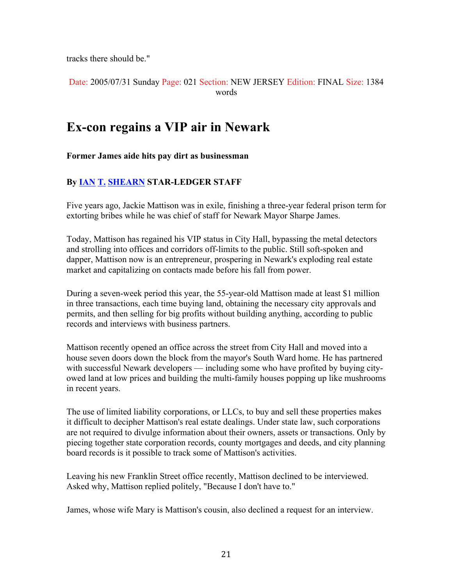tracks there should be."

Date: 2005/07/31 Sunday Page: 021 Section: NEW JERSEY Edition: FINAL Size: 1384 words

## **Ex-con regains a VIP air in Newark**

**Former James aide hits pay dirt as businessman**

#### **By IAN T. SHEARN STAR-LEDGER STAFF**

Five years ago, Jackie Mattison was in exile, finishing a three-year federal prison term for extorting bribes while he was chief of staff for Newark Mayor Sharpe James.

Today, Mattison has regained his VIP status in City Hall, bypassing the metal detectors and strolling into offices and corridors off-limits to the public. Still soft-spoken and dapper, Mattison now is an entrepreneur, prospering in Newark's exploding real estate market and capitalizing on contacts made before his fall from power.

During a seven-week period this year, the 55-year-old Mattison made at least \$1 million in three transactions, each time buying land, obtaining the necessary city approvals and permits, and then selling for big profits without building anything, according to public records and interviews with business partners.

Mattison recently opened an office across the street from City Hall and moved into a house seven doors down the block from the mayor's South Ward home. He has partnered with successful Newark developers — including some who have profited by buying cityowed land at low prices and building the multi-family houses popping up like mushrooms in recent years.

The use of limited liability corporations, or LLCs, to buy and sell these properties makes it difficult to decipher Mattison's real estate dealings. Under state law, such corporations are not required to divulge information about their owners, assets or transactions. Only by piecing together state corporation records, county mortgages and deeds, and city planning board records is it possible to track some of Mattison's activities.

Leaving his new Franklin Street office recently, Mattison declined to be interviewed. Asked why, Mattison replied politely, "Because I don't have to."

James, whose wife Mary is Mattison's cousin, also declined a request for an interview.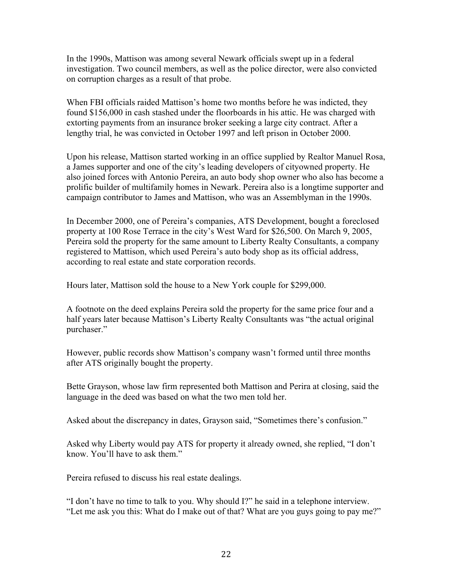In the 1990s, Mattison was among several Newark officials swept up in a federal investigation. Two council members, as well as the police director, were also convicted on corruption charges as a result of that probe.

When FBI officials raided Mattison's home two months before he was indicted, they found \$156,000 in cash stashed under the floorboards in his attic. He was charged with extorting payments from an insurance broker seeking a large city contract. After a lengthy trial, he was convicted in October 1997 and left prison in October 2000.

Upon his release, Mattison started working in an office supplied by Realtor Manuel Rosa, a James supporter and one of the city's leading developers of cityowned property. He also joined forces with Antonio Pereira, an auto body shop owner who also has become a prolific builder of multifamily homes in Newark. Pereira also is a longtime supporter and campaign contributor to James and Mattison, who was an Assemblyman in the 1990s.

In December 2000, one of Pereira's companies, ATS Development, bought a foreclosed property at 100 Rose Terrace in the city's West Ward for \$26,500. On March 9, 2005, Pereira sold the property for the same amount to Liberty Realty Consultants, a company registered to Mattison, which used Pereira's auto body shop as its official address, according to real estate and state corporation records.

Hours later, Mattison sold the house to a New York couple for \$299,000.

A footnote on the deed explains Pereira sold the property for the same price four and a half years later because Mattison's Liberty Realty Consultants was "the actual original purchaser."

However, public records show Mattison's company wasn't formed until three months after ATS originally bought the property.

Bette Grayson, whose law firm represented both Mattison and Perira at closing, said the language in the deed was based on what the two men told her.

Asked about the discrepancy in dates, Grayson said, "Sometimes there's confusion."

Asked why Liberty would pay ATS for property it already owned, she replied, "I don't know. You'll have to ask them."

Pereira refused to discuss his real estate dealings.

"I don't have no time to talk to you. Why should I?" he said in a telephone interview. "Let me ask you this: What do I make out of that? What are you guys going to pay me?"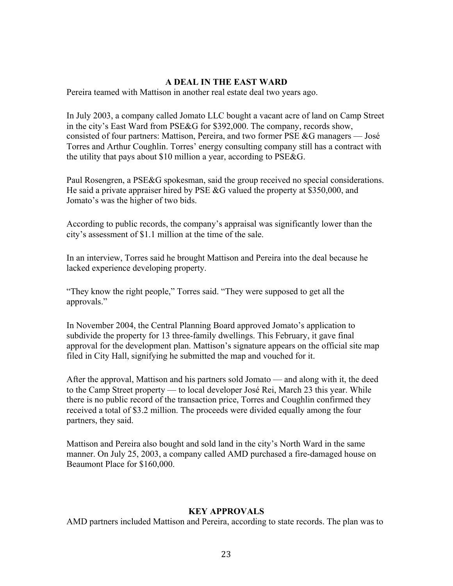#### **A DEAL IN THE EAST WARD**

Pereira teamed with Mattison in another real estate deal two years ago.

In July 2003, a company called Jomato LLC bought a vacant acre of land on Camp Street in the city's East Ward from PSE&G for \$392,000. The company, records show, consisted of four partners: Mattison, Pereira, and two former PSE &G managers — José Torres and Arthur Coughlin. Torres' energy consulting company still has a contract with the utility that pays about \$10 million a year, according to PSE&G.

Paul Rosengren, a PSE&G spokesman, said the group received no special considerations. He said a private appraiser hired by PSE &G valued the property at \$350,000, and Jomato's was the higher of two bids.

According to public records, the company's appraisal was significantly lower than the city's assessment of \$1.1 million at the time of the sale.

In an interview, Torres said he brought Mattison and Pereira into the deal because he lacked experience developing property.

"They know the right people," Torres said. "They were supposed to get all the approvals."

In November 2004, the Central Planning Board approved Jomato's application to subdivide the property for 13 three-family dwellings. This February, it gave final approval for the development plan. Mattison's signature appears on the official site map filed in City Hall, signifying he submitted the map and vouched for it.

After the approval, Mattison and his partners sold Jomato — and along with it, the deed to the Camp Street property — to local developer José Rei, March 23 this year. While there is no public record of the transaction price, Torres and Coughlin confirmed they received a total of \$3.2 million. The proceeds were divided equally among the four partners, they said.

Mattison and Pereira also bought and sold land in the city's North Ward in the same manner. On July 25, 2003, a company called AMD purchased a fire-damaged house on Beaumont Place for \$160,000.

#### **KEY APPROVALS**

AMD partners included Mattison and Pereira, according to state records. The plan was to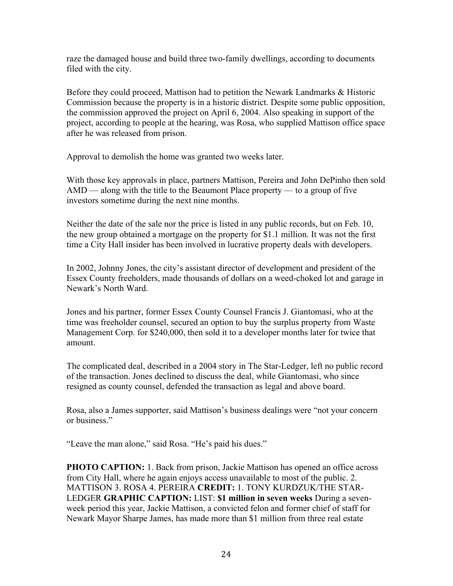raze the damaged house and build three two-family dwellings, according to documents filed with the city.

Before they could proceed, Mattison had to petition the Newark Landmarks & Historic Commission because the property is in a historic district. Despite some public opposition, the commission approved the project on April 6, 2004. Also speaking in support of the project, according to people at the hearing, was Rosa, who supplied Mattison office space after he was released from prison.

Approval to demolish the home was granted two weeks later.

With those key approvals in place, partners Mattison, Pereira and John DePinho then sold AMD — along with the title to the Beaumont Place property — to a group of five investors sometime during the next nine months.

Neither the date of the sale nor the price is listed in any public records, but on Feb. 10, the new group obtained a mortgage on the property for \$1.1 million. It was not the first time a City Hall insider has been involved in lucrative property deals with developers.

In 2002, Johnny Jones, the city's assistant director of development and president of the Essex County freeholders, made thousands of dollars on a weed-choked lot and garage in Newark's North Ward.

Jones and his partner, former Essex County Counsel Francis J. Giantomasi, who at the time was freeholder counsel, secured an option to buy the surplus property from Waste Management Corp. for \$240,000, then sold it to a developer months later for twice that amount.

The complicated deal, described in a 2004 story in The Star-Ledger, left no public record of the transaction. Jones declined to discuss the deal, while Giantomasi, who since resigned as county counsel, defended the transaction as legal and above board.

Rosa, also a James supporter, said Mattison's business dealings were "not your concern or business."

"Leave the man alone," said Rosa. "He's paid his dues."

**PHOTO CAPTION:** 1. Back from prison, Jackie Mattison has opened an office across from City Hall, where he again enjoys access unavailable to most of the public. 2. MATTISON 3. ROSA 4. PEREIRA **CREDIT:** 1. TONY KURDZUK/THE STAR-LEDGER **GRAPHIC CAPTION:** LIST: **\$1 million in seven weeks** During a sevenweek period this year, Jackie Mattison, a convicted felon and former chief of staff for Newark Mayor Sharpe James, has made more than \$1 million from three real estate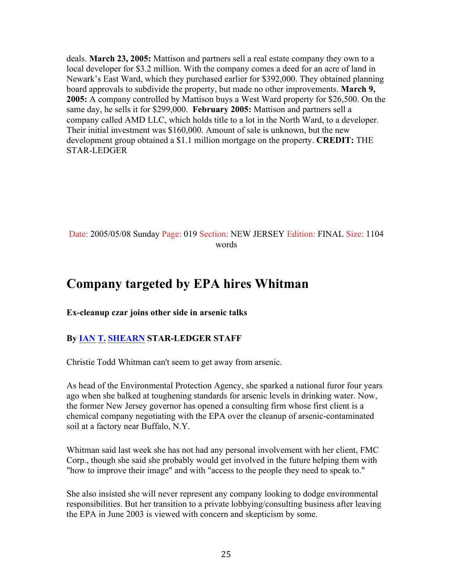deals. **March 23, 2005:** Mattison and partners sell a real estate company they own to a local developer for \$3.2 million. With the company comes a deed for an acre of land in Newark's East Ward, which they purchased earlier for \$392,000. They obtained planning board approvals to subdivide the property, but made no other improvements. **March 9, 2005:** A company controlled by Mattison buys a West Ward property for \$26,500. On the same day, he sells it for \$299,000. **February 2005:** Mattison and partners sell a company called AMD LLC, which holds title to a lot in the North Ward, to a developer. Their initial investment was \$160,000. Amount of sale is unknown, but the new development group obtained a \$1.1 million mortgage on the property. **CREDIT:** THE STAR-LEDGER

#### Date: 2005/05/08 Sunday Page: 019 Section: NEW JERSEY Edition: FINAL Size: 1104 words

## **Company targeted by EPA hires Whitman**

**Ex-cleanup czar joins other side in arsenic talks**

#### **By IAN T. SHEARN STAR-LEDGER STAFF**

Christie Todd Whitman can't seem to get away from arsenic.

As head of the Environmental Protection Agency, she sparked a national furor four years ago when she balked at toughening standards for arsenic levels in drinking water. Now, the former New Jersey governor has opened a consulting firm whose first client is a chemical company negotiating with the EPA over the cleanup of arsenic-contaminated soil at a factory near Buffalo, N.Y.

Whitman said last week she has not had any personal involvement with her client, FMC Corp., though she said she probably would get involved in the future helping them with "how to improve their image" and with "access to the people they need to speak to."

She also insisted she will never represent any company looking to dodge environmental responsibilities. But her transition to a private lobbying/consulting business after leaving the EPA in June 2003 is viewed with concern and skepticism by some.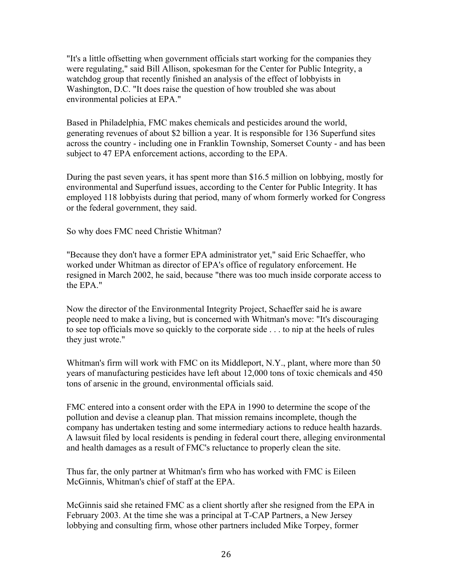"It's a little offsetting when government officials start working for the companies they were regulating," said Bill Allison, spokesman for the Center for Public Integrity, a watchdog group that recently finished an analysis of the effect of lobbyists in Washington, D.C. "It does raise the question of how troubled she was about environmental policies at EPA."

Based in Philadelphia, FMC makes chemicals and pesticides around the world, generating revenues of about \$2 billion a year. It is responsible for 136 Superfund sites across the country - including one in Franklin Township, Somerset County - and has been subject to 47 EPA enforcement actions, according to the EPA.

During the past seven years, it has spent more than \$16.5 million on lobbying, mostly for environmental and Superfund issues, according to the Center for Public Integrity. It has employed 118 lobbyists during that period, many of whom formerly worked for Congress or the federal government, they said.

So why does FMC need Christie Whitman?

"Because they don't have a former EPA administrator yet," said Eric Schaeffer, who worked under Whitman as director of EPA's office of regulatory enforcement. He resigned in March 2002, he said, because "there was too much inside corporate access to the EPA."

Now the director of the Environmental Integrity Project, Schaeffer said he is aware people need to make a living, but is concerned with Whitman's move: "It's discouraging to see top officials move so quickly to the corporate side . . . to nip at the heels of rules they just wrote."

Whitman's firm will work with FMC on its Middleport, N.Y., plant, where more than 50 years of manufacturing pesticides have left about 12,000 tons of toxic chemicals and 450 tons of arsenic in the ground, environmental officials said.

FMC entered into a consent order with the EPA in 1990 to determine the scope of the pollution and devise a cleanup plan. That mission remains incomplete, though the company has undertaken testing and some intermediary actions to reduce health hazards. A lawsuit filed by local residents is pending in federal court there, alleging environmental and health damages as a result of FMC's reluctance to properly clean the site.

Thus far, the only partner at Whitman's firm who has worked with FMC is Eileen McGinnis, Whitman's chief of staff at the EPA.

McGinnis said she retained FMC as a client shortly after she resigned from the EPA in February 2003. At the time she was a principal at T-CAP Partners, a New Jersey lobbying and consulting firm, whose other partners included Mike Torpey, former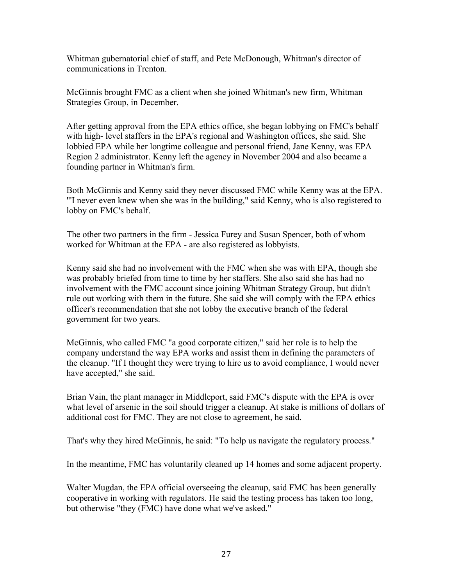Whitman gubernatorial chief of staff, and Pete McDonough, Whitman's director of communications in Trenton.

McGinnis brought FMC as a client when she joined Whitman's new firm, Whitman Strategies Group, in December.

After getting approval from the EPA ethics office, she began lobbying on FMC's behalf with high- level staffers in the EPA's regional and Washington offices, she said. She lobbied EPA while her longtime colleague and personal friend, Jane Kenny, was EPA Region 2 administrator. Kenny left the agency in November 2004 and also became a founding partner in Whitman's firm.

Both McGinnis and Kenny said they never discussed FMC while Kenny was at the EPA. "'I never even knew when she was in the building," said Kenny, who is also registered to lobby on FMC's behalf.

The other two partners in the firm - Jessica Furey and Susan Spencer, both of whom worked for Whitman at the EPA - are also registered as lobbyists.

Kenny said she had no involvement with the FMC when she was with EPA, though she was probably briefed from time to time by her staffers. She also said she has had no involvement with the FMC account since joining Whitman Strategy Group, but didn't rule out working with them in the future. She said she will comply with the EPA ethics officer's recommendation that she not lobby the executive branch of the federal government for two years.

McGinnis, who called FMC "a good corporate citizen," said her role is to help the company understand the way EPA works and assist them in defining the parameters of the cleanup. "If I thought they were trying to hire us to avoid compliance, I would never have accepted," she said.

Brian Vain, the plant manager in Middleport, said FMC's dispute with the EPA is over what level of arsenic in the soil should trigger a cleanup. At stake is millions of dollars of additional cost for FMC. They are not close to agreement, he said.

That's why they hired McGinnis, he said: "To help us navigate the regulatory process."

In the meantime, FMC has voluntarily cleaned up 14 homes and some adjacent property.

Walter Mugdan, the EPA official overseeing the cleanup, said FMC has been generally cooperative in working with regulators. He said the testing process has taken too long, but otherwise "they (FMC) have done what we've asked."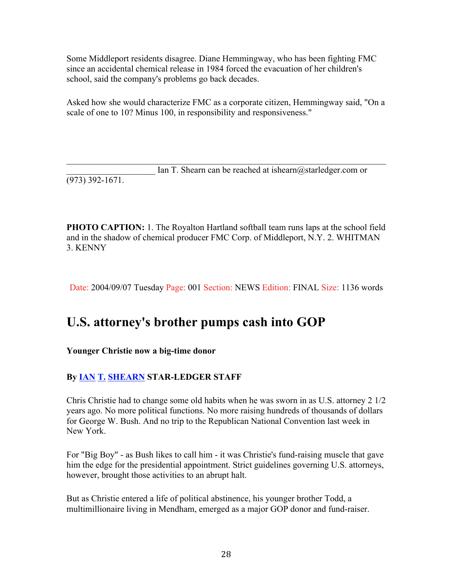Some Middleport residents disagree. Diane Hemmingway, who has been fighting FMC since an accidental chemical release in 1984 forced the evacuation of her children's school, said the company's problems go back decades.

Asked how she would characterize FMC as a corporate citizen, Hemmingway said, "On a scale of one to 10? Minus 100, in responsibility and responsiveness."

 $\mathcal{L}_\text{max}$  , and the contribution of the contribution of the contribution of the contribution of the contribution of the contribution of the contribution of the contribution of the contribution of the contribution of t Ian T. Shearn can be reached at ishearn  $@$  starledger.com or (973) 392-1671.

**PHOTO CAPTION:** 1. The Royalton Hartland softball team runs laps at the school field and in the shadow of chemical producer FMC Corp. of Middleport, N.Y. 2. WHITMAN 3. KENNY

Date: 2004/09/07 Tuesday Page: 001 Section: NEWS Edition: FINAL Size: 1136 words

# **U.S. attorney's brother pumps cash into GOP**

#### **Younger Christie now a big-time donor**

#### **By IAN T. SHEARN STAR-LEDGER STAFF**

Chris Christie had to change some old habits when he was sworn in as U.S. attorney 2 1/2 years ago. No more political functions. No more raising hundreds of thousands of dollars for George W. Bush. And no trip to the Republican National Convention last week in New York.

For "Big Boy" - as Bush likes to call him - it was Christie's fund-raising muscle that gave him the edge for the presidential appointment. Strict guidelines governing U.S. attorneys, however, brought those activities to an abrupt halt.

But as Christie entered a life of political abstinence, his younger brother Todd, a multimillionaire living in Mendham, emerged as a major GOP donor and fund-raiser.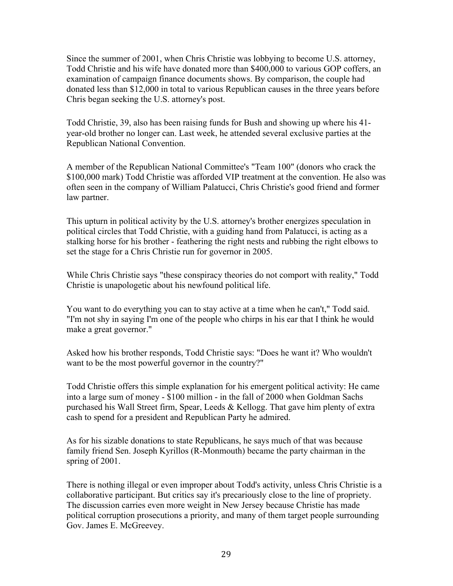Since the summer of 2001, when Chris Christie was lobbying to become U.S. attorney, Todd Christie and his wife have donated more than \$400,000 to various GOP coffers, an examination of campaign finance documents shows. By comparison, the couple had donated less than \$12,000 in total to various Republican causes in the three years before Chris began seeking the U.S. attorney's post.

Todd Christie, 39, also has been raising funds for Bush and showing up where his 41 year-old brother no longer can. Last week, he attended several exclusive parties at the Republican National Convention.

A member of the Republican National Committee's "Team 100" (donors who crack the \$100,000 mark) Todd Christie was afforded VIP treatment at the convention. He also was often seen in the company of William Palatucci, Chris Christie's good friend and former law partner.

This upturn in political activity by the U.S. attorney's brother energizes speculation in political circles that Todd Christie, with a guiding hand from Palatucci, is acting as a stalking horse for his brother - feathering the right nests and rubbing the right elbows to set the stage for a Chris Christie run for governor in 2005.

While Chris Christie says "these conspiracy theories do not comport with reality," Todd Christie is unapologetic about his newfound political life.

You want to do everything you can to stay active at a time when he can't," Todd said. "I'm not shy in saying I'm one of the people who chirps in his ear that I think he would make a great governor."

Asked how his brother responds, Todd Christie says: "Does he want it? Who wouldn't want to be the most powerful governor in the country?"

Todd Christie offers this simple explanation for his emergent political activity: He came into a large sum of money - \$100 million - in the fall of 2000 when Goldman Sachs purchased his Wall Street firm, Spear, Leeds & Kellogg. That gave him plenty of extra cash to spend for a president and Republican Party he admired.

As for his sizable donations to state Republicans, he says much of that was because family friend Sen. Joseph Kyrillos (R-Monmouth) became the party chairman in the spring of 2001.

There is nothing illegal or even improper about Todd's activity, unless Chris Christie is a collaborative participant. But critics say it's precariously close to the line of propriety. The discussion carries even more weight in New Jersey because Christie has made political corruption prosecutions a priority, and many of them target people surrounding Gov. James E. McGreevey.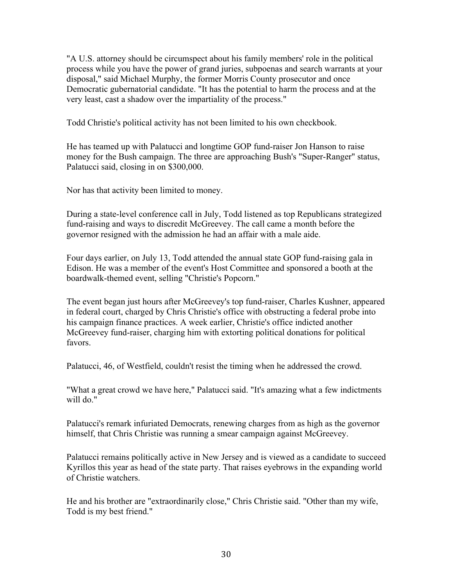"A U.S. attorney should be circumspect about his family members' role in the political process while you have the power of grand juries, subpoenas and search warrants at your disposal," said Michael Murphy, the former Morris County prosecutor and once Democratic gubernatorial candidate. "It has the potential to harm the process and at the very least, cast a shadow over the impartiality of the process."

Todd Christie's political activity has not been limited to his own checkbook.

He has teamed up with Palatucci and longtime GOP fund-raiser Jon Hanson to raise money for the Bush campaign. The three are approaching Bush's "Super-Ranger" status, Palatucci said, closing in on \$300,000.

Nor has that activity been limited to money.

During a state-level conference call in July, Todd listened as top Republicans strategized fund-raising and ways to discredit McGreevey. The call came a month before the governor resigned with the admission he had an affair with a male aide.

Four days earlier, on July 13, Todd attended the annual state GOP fund-raising gala in Edison. He was a member of the event's Host Committee and sponsored a booth at the boardwalk-themed event, selling "Christie's Popcorn."

The event began just hours after McGreevey's top fund-raiser, Charles Kushner, appeared in federal court, charged by Chris Christie's office with obstructing a federal probe into his campaign finance practices. A week earlier, Christie's office indicted another McGreevey fund-raiser, charging him with extorting political donations for political favors.

Palatucci, 46, of Westfield, couldn't resist the timing when he addressed the crowd.

"What a great crowd we have here," Palatucci said. "It's amazing what a few indictments will do."

Palatucci's remark infuriated Democrats, renewing charges from as high as the governor himself, that Chris Christie was running a smear campaign against McGreevey.

Palatucci remains politically active in New Jersey and is viewed as a candidate to succeed Kyrillos this year as head of the state party. That raises eyebrows in the expanding world of Christie watchers.

He and his brother are "extraordinarily close," Chris Christie said. "Other than my wife, Todd is my best friend."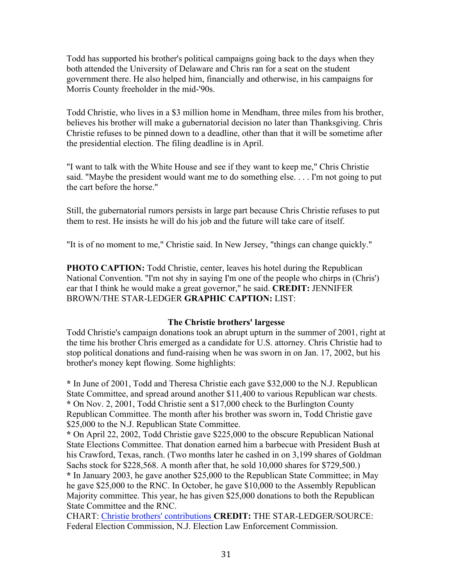Todd has supported his brother's political campaigns going back to the days when they both attended the University of Delaware and Chris ran for a seat on the student government there. He also helped him, financially and otherwise, in his campaigns for Morris County freeholder in the mid-'90s.

Todd Christie, who lives in a \$3 million home in Mendham, three miles from his brother, believes his brother will make a gubernatorial decision no later than Thanksgiving. Chris Christie refuses to be pinned down to a deadline, other than that it will be sometime after the presidential election. The filing deadline is in April.

"I want to talk with the White House and see if they want to keep me," Chris Christie said. "Maybe the president would want me to do something else. . . . I'm not going to put the cart before the horse."

Still, the gubernatorial rumors persists in large part because Chris Christie refuses to put them to rest. He insists he will do his job and the future will take care of itself.

"It is of no moment to me," Christie said. In New Jersey, "things can change quickly."

**PHOTO CAPTION:** Todd Christie, center, leaves his hotel during the Republican National Convention. ''I'm not shy in saying I'm one of the people who chirps in (Chris') ear that I think he would make a great governor,'' he said. **CREDIT:** JENNIFER BROWN/THE STAR-LEDGER **GRAPHIC CAPTION:** LIST:

#### **The Christie brothers' largesse**

Todd Christie's campaign donations took an abrupt upturn in the summer of 2001, right at the time his brother Chris emerged as a candidate for U.S. attorney. Chris Christie had to stop political donations and fund-raising when he was sworn in on Jan. 17, 2002, but his brother's money kept flowing. Some highlights:

**\*** In June of 2001, Todd and Theresa Christie each gave \$32,000 to the N.J. Republican State Committee, and spread around another \$11,400 to various Republican war chests. **\*** On Nov. 2, 2001, Todd Christie sent a \$17,000 check to the Burlington County Republican Committee. The month after his brother was sworn in, Todd Christie gave \$25,000 to the N.J. Republican State Committee.

**\*** On April 22, 2002, Todd Christie gave \$225,000 to the obscure Republican National State Elections Committee. That donation earned him a barbecue with President Bush at his Crawford, Texas, ranch. (Two months later he cashed in on 3,199 shares of Goldman Sachs stock for \$228,568. A month after that, he sold 10,000 shares for \$729,500.)

**\*** In January 2003, he gave another \$25,000 to the Republican State Committee; in May he gave \$25,000 to the RNC. In October, he gave \$10,000 to the Assembly Republican Majority committee. This year, he has given \$25,000 donations to both the Republican State Committee and the RNC.

CHART: Christie brothers' contributions **CREDIT:** THE STAR-LEDGER/SOURCE: Federal Election Commission, N.J. Election Law Enforcement Commission.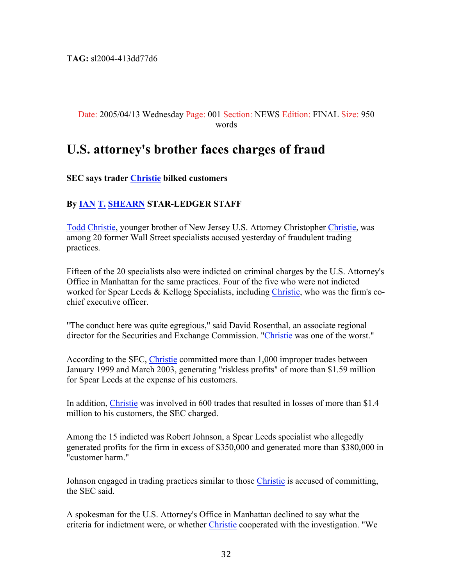**TAG:** sl2004-413dd77d6

#### Date: 2005/04/13 Wednesday Page: 001 Section: NEWS Edition: FINAL Size: 950 words

## **U.S. attorney's brother faces charges of fraud**

#### **SEC says trader Christie bilked customers**

#### **By IAN T. SHEARN STAR-LEDGER STAFF**

Todd Christie, younger brother of New Jersey U.S. Attorney Christopher Christie, was among 20 former Wall Street specialists accused yesterday of fraudulent trading practices.

Fifteen of the 20 specialists also were indicted on criminal charges by the U.S. Attorney's Office in Manhattan for the same practices. Four of the five who were not indicted worked for Spear Leeds & Kellogg Specialists, including Christie, who was the firm's cochief executive officer.

"The conduct here was quite egregious," said David Rosenthal, an associate regional director for the Securities and Exchange Commission. "Christie was one of the worst."

According to the SEC, Christie committed more than 1,000 improper trades between January 1999 and March 2003, generating "riskless profits" of more than \$1.59 million for Spear Leeds at the expense of his customers.

In addition, Christie was involved in 600 trades that resulted in losses of more than \$1.4 million to his customers, the SEC charged.

Among the 15 indicted was Robert Johnson, a Spear Leeds specialist who allegedly generated profits for the firm in excess of \$350,000 and generated more than \$380,000 in "customer harm."

Johnson engaged in trading practices similar to those Christie is accused of committing, the SEC said.

A spokesman for the U.S. Attorney's Office in Manhattan declined to say what the criteria for indictment were, or whether Christie cooperated with the investigation. "We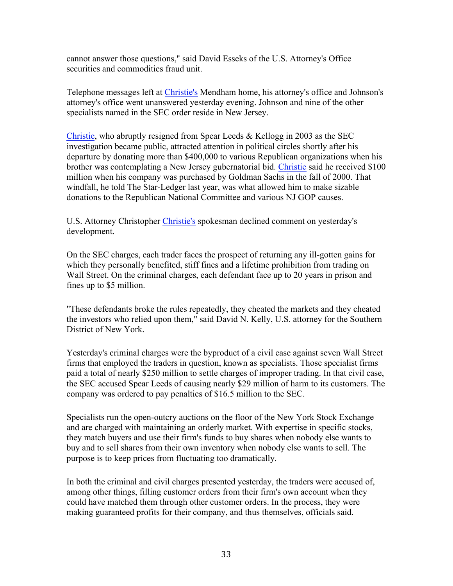cannot answer those questions," said David Esseks of the U.S. Attorney's Office securities and commodities fraud unit.

Telephone messages left at Christie's Mendham home, his attorney's office and Johnson's attorney's office went unanswered yesterday evening. Johnson and nine of the other specialists named in the SEC order reside in New Jersey.

Christie, who abruptly resigned from Spear Leeds & Kellogg in 2003 as the SEC investigation became public, attracted attention in political circles shortly after his departure by donating more than \$400,000 to various Republican organizations when his brother was contemplating a New Jersey gubernatorial bid. Christie said he received \$100 million when his company was purchased by Goldman Sachs in the fall of 2000. That windfall, he told The Star-Ledger last year, was what allowed him to make sizable donations to the Republican National Committee and various NJ GOP causes.

U.S. Attorney Christopher Christie's spokesman declined comment on yesterday's development.

On the SEC charges, each trader faces the prospect of returning any ill-gotten gains for which they personally benefited, stiff fines and a lifetime prohibition from trading on Wall Street. On the criminal charges, each defendant face up to 20 years in prison and fines up to \$5 million.

"These defendants broke the rules repeatedly, they cheated the markets and they cheated the investors who relied upon them," said David N. Kelly, U.S. attorney for the Southern District of New York.

Yesterday's criminal charges were the byproduct of a civil case against seven Wall Street firms that employed the traders in question, known as specialists. Those specialist firms paid a total of nearly \$250 million to settle charges of improper trading. In that civil case, the SEC accused Spear Leeds of causing nearly \$29 million of harm to its customers. The company was ordered to pay penalties of \$16.5 million to the SEC.

Specialists run the open-outcry auctions on the floor of the New York Stock Exchange and are charged with maintaining an orderly market. With expertise in specific stocks, they match buyers and use their firm's funds to buy shares when nobody else wants to buy and to sell shares from their own inventory when nobody else wants to sell. The purpose is to keep prices from fluctuating too dramatically.

In both the criminal and civil charges presented yesterday, the traders were accused of, among other things, filling customer orders from their firm's own account when they could have matched them through other customer orders. In the process, they were making guaranteed profits for their company, and thus themselves, officials said.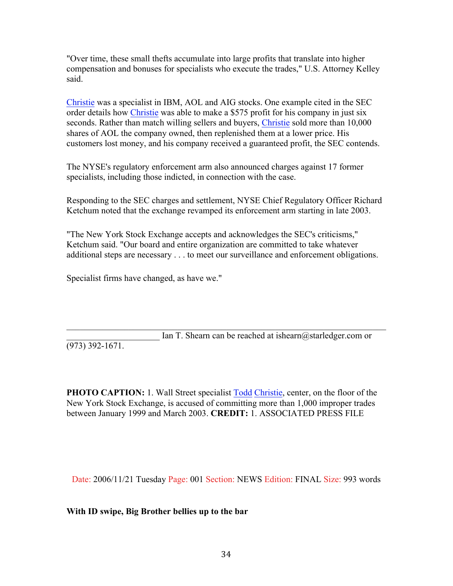"Over time, these small thefts accumulate into large profits that translate into higher compensation and bonuses for specialists who execute the trades," U.S. Attorney Kelley said.

Christie was a specialist in IBM, AOL and AIG stocks. One example cited in the SEC order details how Christie was able to make a \$575 profit for his company in just six seconds. Rather than match willing sellers and buyers, Christie sold more than 10,000 shares of AOL the company owned, then replenished them at a lower price. His customers lost money, and his company received a guaranteed profit, the SEC contends.

The NYSE's regulatory enforcement arm also announced charges against 17 former specialists, including those indicted, in connection with the case.

Responding to the SEC charges and settlement, NYSE Chief Regulatory Officer Richard Ketchum noted that the exchange revamped its enforcement arm starting in late 2003.

"The New York Stock Exchange accepts and acknowledges the SEC's criticisms," Ketchum said. "Our board and entire organization are committed to take whatever additional steps are necessary . . . to meet our surveillance and enforcement obligations.

Specialist firms have changed, as have we."

 $\mathcal{L}_\text{max} = \mathcal{L}_\text{max} = \mathcal{L}_\text{max} = \mathcal{L}_\text{max} = \mathcal{L}_\text{max} = \mathcal{L}_\text{max} = \mathcal{L}_\text{max} = \mathcal{L}_\text{max} = \mathcal{L}_\text{max} = \mathcal{L}_\text{max} = \mathcal{L}_\text{max} = \mathcal{L}_\text{max} = \mathcal{L}_\text{max} = \mathcal{L}_\text{max} = \mathcal{L}_\text{max} = \mathcal{L}_\text{max} = \mathcal{L}_\text{max} = \mathcal{L}_\text{max} = \mathcal{$ Ian T. Shearn can be reached at ishearn  $@$  starledger.com or (973) 392-1671.

**PHOTO CAPTION:** 1. Wall Street specialist Todd Christie, center, on the floor of the New York Stock Exchange, is accused of committing more than 1,000 improper trades between January 1999 and March 2003. **CREDIT:** 1. ASSOCIATED PRESS FILE

Date: 2006/11/21 Tuesday Page: 001 Section: NEWS Edition: FINAL Size: 993 words

**With ID swipe, Big Brother bellies up to the bar**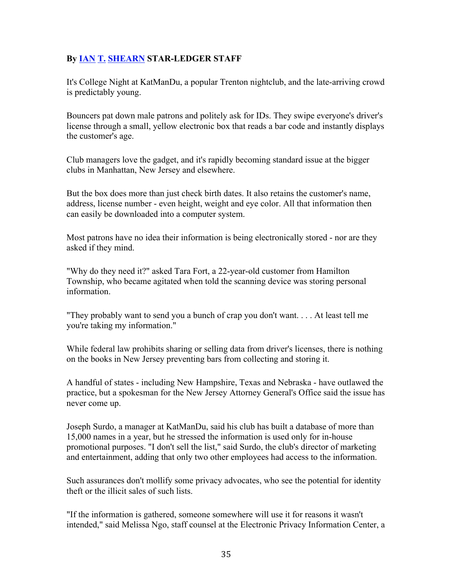#### **By IAN T. SHEARN STAR-LEDGER STAFF**

It's College Night at KatManDu, a popular Trenton nightclub, and the late-arriving crowd is predictably young.

Bouncers pat down male patrons and politely ask for IDs. They swipe everyone's driver's license through a small, yellow electronic box that reads a bar code and instantly displays the customer's age.

Club managers love the gadget, and it's rapidly becoming standard issue at the bigger clubs in Manhattan, New Jersey and elsewhere.

But the box does more than just check birth dates. It also retains the customer's name, address, license number - even height, weight and eye color. All that information then can easily be downloaded into a computer system.

Most patrons have no idea their information is being electronically stored - nor are they asked if they mind.

"Why do they need it?" asked Tara Fort, a 22-year-old customer from Hamilton Township, who became agitated when told the scanning device was storing personal information.

"They probably want to send you a bunch of crap you don't want. . . . At least tell me you're taking my information."

While federal law prohibits sharing or selling data from driver's licenses, there is nothing on the books in New Jersey preventing bars from collecting and storing it.

A handful of states - including New Hampshire, Texas and Nebraska - have outlawed the practice, but a spokesman for the New Jersey Attorney General's Office said the issue has never come up.

Joseph Surdo, a manager at KatManDu, said his club has built a database of more than 15,000 names in a year, but he stressed the information is used only for in-house promotional purposes. "I don't sell the list," said Surdo, the club's director of marketing and entertainment, adding that only two other employees had access to the information.

Such assurances don't mollify some privacy advocates, who see the potential for identity theft or the illicit sales of such lists.

"If the information is gathered, someone somewhere will use it for reasons it wasn't intended," said Melissa Ngo, staff counsel at the Electronic Privacy Information Center, a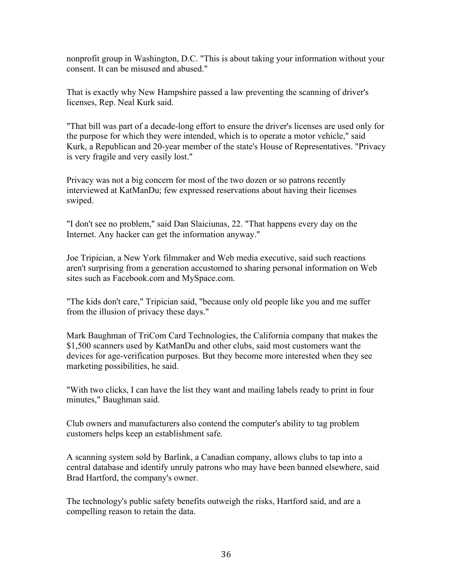nonprofit group in Washington, D.C. "This is about taking your information without your consent. It can be misused and abused."

That is exactly why New Hampshire passed a law preventing the scanning of driver's licenses, Rep. Neal Kurk said.

"That bill was part of a decade-long effort to ensure the driver's licenses are used only for the purpose for which they were intended, which is to operate a motor vehicle," said Kurk, a Republican and 20-year member of the state's House of Representatives. "Privacy is very fragile and very easily lost."

Privacy was not a big concern for most of the two dozen or so patrons recently interviewed at KatManDu; few expressed reservations about having their licenses swiped.

"I don't see no problem," said Dan Slaiciunas, 22. "That happens every day on the Internet. Any hacker can get the information anyway."

Joe Tripician, a New York filmmaker and Web media executive, said such reactions aren't surprising from a generation accustomed to sharing personal information on Web sites such as Facebook.com and MySpace.com.

"The kids don't care," Tripician said, "because only old people like you and me suffer from the illusion of privacy these days."

Mark Baughman of TriCom Card Technologies, the California company that makes the \$1,500 scanners used by KatManDu and other clubs, said most customers want the devices for age-verification purposes. But they become more interested when they see marketing possibilities, he said.

"With two clicks, I can have the list they want and mailing labels ready to print in four minutes," Baughman said.

Club owners and manufacturers also contend the computer's ability to tag problem customers helps keep an establishment safe.

A scanning system sold by Barlink, a Canadian company, allows clubs to tap into a central database and identify unruly patrons who may have been banned elsewhere, said Brad Hartford, the company's owner.

The technology's public safety benefits outweigh the risks, Hartford said, and are a compelling reason to retain the data.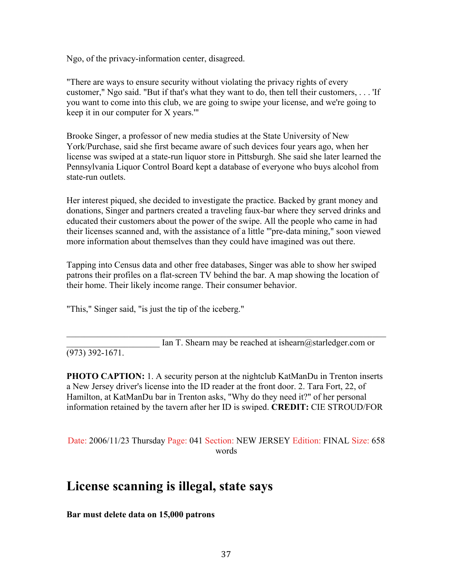Ngo, of the privacy-information center, disagreed.

"There are ways to ensure security without violating the privacy rights of every customer," Ngo said. "But if that's what they want to do, then tell their customers, . . . 'If you want to come into this club, we are going to swipe your license, and we're going to keep it in our computer for X years.'"

Brooke Singer, a professor of new media studies at the State University of New York/Purchase, said she first became aware of such devices four years ago, when her license was swiped at a state-run liquor store in Pittsburgh. She said she later learned the Pennsylvania Liquor Control Board kept a database of everyone who buys alcohol from state-run outlets.

Her interest piqued, she decided to investigate the practice. Backed by grant money and donations, Singer and partners created a traveling faux-bar where they served drinks and educated their customers about the power of the swipe. All the people who came in had their licenses scanned and, with the assistance of a little "'pre-data mining," soon viewed more information about themselves than they could have imagined was out there.

Tapping into Census data and other free databases, Singer was able to show her swiped patrons their profiles on a flat-screen TV behind the bar. A map showing the location of their home. Their likely income range. Their consumer behavior.

"This," Singer said, "is just the tip of the iceberg."

Ian T. Shearn may be reached at ishearn  $@$  starledger.com or

(973) 392-1671.

**PHOTO CAPTION:** 1. A security person at the nightclub KatManDu in Trenton inserts a New Jersey driver's license into the ID reader at the front door. 2. Tara Fort, 22, of Hamilton, at KatManDu bar in Trenton asks, "Why do they need it?" of her personal information retained by the tavern after her ID is swiped. **CREDIT:** CIE STROUD/FOR

 $\mathcal{L}_\text{max}$  , and the contribution of the contribution of the contribution of the contribution of the contribution of the contribution of the contribution of the contribution of the contribution of the contribution of t

Date: 2006/11/23 Thursday Page: 041 Section: NEW JERSEY Edition: FINAL Size: 658 words

# **License scanning is illegal, state says**

**Bar must delete data on 15,000 patrons**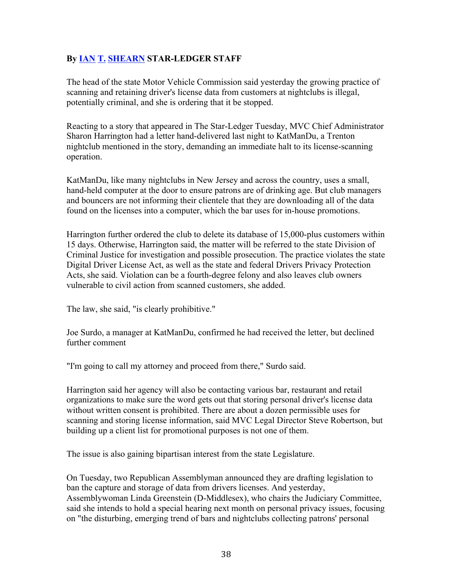#### **By IAN T. SHEARN STAR-LEDGER STAFF**

The head of the state Motor Vehicle Commission said yesterday the growing practice of scanning and retaining driver's license data from customers at nightclubs is illegal, potentially criminal, and she is ordering that it be stopped.

Reacting to a story that appeared in The Star-Ledger Tuesday, MVC Chief Administrator Sharon Harrington had a letter hand-delivered last night to KatManDu, a Trenton nightclub mentioned in the story, demanding an immediate halt to its license-scanning operation.

KatManDu, like many nightclubs in New Jersey and across the country, uses a small, hand-held computer at the door to ensure patrons are of drinking age. But club managers and bouncers are not informing their clientele that they are downloading all of the data found on the licenses into a computer, which the bar uses for in-house promotions.

Harrington further ordered the club to delete its database of 15,000-plus customers within 15 days. Otherwise, Harrington said, the matter will be referred to the state Division of Criminal Justice for investigation and possible prosecution. The practice violates the state Digital Driver License Act, as well as the state and federal Drivers Privacy Protection Acts, she said. Violation can be a fourth-degree felony and also leaves club owners vulnerable to civil action from scanned customers, she added.

The law, she said, "is clearly prohibitive."

Joe Surdo, a manager at KatManDu, confirmed he had received the letter, but declined further comment

"I'm going to call my attorney and proceed from there," Surdo said.

Harrington said her agency will also be contacting various bar, restaurant and retail organizations to make sure the word gets out that storing personal driver's license data without written consent is prohibited. There are about a dozen permissible uses for scanning and storing license information, said MVC Legal Director Steve Robertson, but building up a client list for promotional purposes is not one of them.

The issue is also gaining bipartisan interest from the state Legislature.

On Tuesday, two Republican Assemblyman announced they are drafting legislation to ban the capture and storage of data from drivers licenses. And yesterday, Assemblywoman Linda Greenstein (D-Middlesex), who chairs the Judiciary Committee, said she intends to hold a special hearing next month on personal privacy issues, focusing on "the disturbing, emerging trend of bars and nightclubs collecting patrons' personal